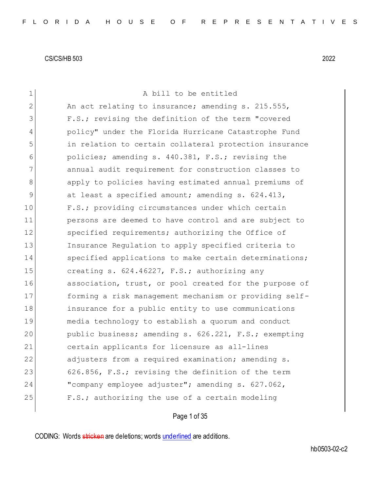| $\mathbf 1$   | A bill to be entitled                                  |
|---------------|--------------------------------------------------------|
| 2             | An act relating to insurance; amending s. 215.555,     |
| 3             | F.S.; revising the definition of the term "covered     |
| 4             | policy" under the Florida Hurricane Catastrophe Fund   |
| 5             | in relation to certain collateral protection insurance |
| 6             | policies; amending s. 440.381, F.S.; revising the      |
| 7             | annual audit requirement for construction classes to   |
| 8             | apply to policies having estimated annual premiums of  |
| $\mathcal{G}$ | at least a specified amount; amending s. 624.413,      |
| 10            | F.S.; providing circumstances under which certain      |
| 11            | persons are deemed to have control and are subject to  |
| 12            | specified requirements; authorizing the Office of      |
| 13            | Insurance Regulation to apply specified criteria to    |
| 14            | specified applications to make certain determinations; |
| 15            | creating s. 624.46227, F.S.; authorizing any           |
| 16            | association, trust, or pool created for the purpose of |
| 17            | forming a risk management mechanism or providing self- |
| 18            | insurance for a public entity to use communications    |
| 19            | media technology to establish a quorum and conduct     |
| 20            | public business; amending s. 626.221, F.S.; exempting  |
| 21            | certain applicants for licensure as all-lines          |
| 22            | adjusters from a required examination; amending s.     |
| 23            | 626.856, F.S.; revising the definition of the term     |
| 24            | "company employee adjuster"; amending s. 627.062,      |
| 25            | F.S.; authorizing the use of a certain modeling        |
|               |                                                        |

Page 1 of 35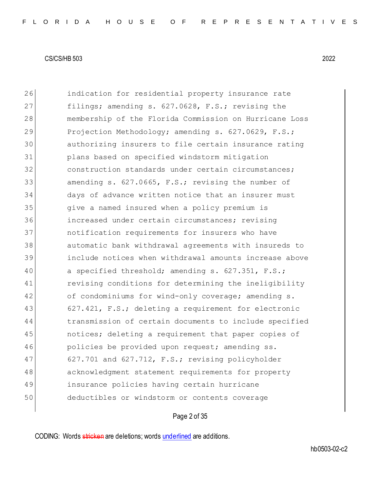26 indication for residential property insurance rate 27 filings; amending s. 627.0628, F.S.; revising the 28 membership of the Florida Commission on Hurricane Loss 29 Projection Methodology; amending s. 627.0629, F.S.; 30 authorizing insurers to file certain insurance rating 31 plans based on specified windstorm mitigation 32 construction standards under certain circumstances; 33 amending s. 627.0665, F.S.; revising the number of 34 days of advance written notice that an insurer must 35 give a named insured when a policy premium is 36 increased under certain circumstances; revising 37 notification requirements for insurers who have 38 automatic bank withdrawal agreements with insureds to 39 include notices when withdrawal amounts increase above 40 a specified threshold; amending s. 627.351, F.S.; 41 revising conditions for determining the ineligibility 42 of condominiums for wind-only coverage; amending s. 43 627.421, F.S.; deleting a requirement for electronic 44 transmission of certain documents to include specified 45 notices; deleting a requirement that paper copies of 46 policies be provided upon request; amending ss. 47 627.701 and 627.712, F.S.; revising policyholder 48 acknowledgment statement requirements for property 49 insurance policies having certain hurricane 50 deductibles or windstorm or contents coverage

# Page 2 of 35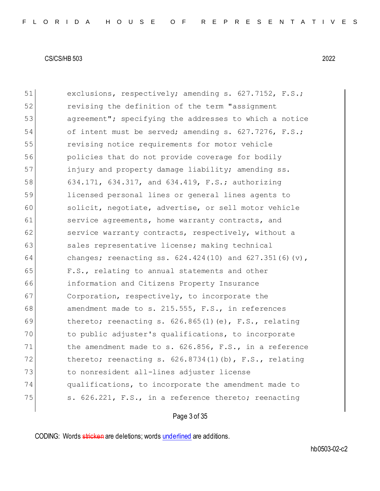| 51 | exclusions, respectively; amending s. 627.7152, F.S.;       |
|----|-------------------------------------------------------------|
| 52 | revising the definition of the term "assignment             |
| 53 | agreement"; specifying the addresses to which a notice      |
| 54 | of intent must be served; amending s. 627.7276, F.S.;       |
| 55 | revising notice requirements for motor vehicle              |
| 56 | policies that do not provide coverage for bodily            |
| 57 | injury and property damage liability; amending ss.          |
| 58 | 634.171, 634.317, and 634.419, F.S.; authorizing            |
| 59 | licensed personal lines or general lines agents to          |
| 60 | solicit, negotiate, advertise, or sell motor vehicle        |
| 61 | service agreements, home warranty contracts, and            |
| 62 | service warranty contracts, respectively, without a         |
| 63 | sales representative license; making technical              |
| 64 | changes; reenacting ss. $624.424(10)$ and $627.351(6)(v)$ , |
| 65 | F.S., relating to annual statements and other               |
| 66 | information and Citizens Property Insurance                 |
| 67 | Corporation, respectively, to incorporate the               |
| 68 | amendment made to s. 215.555, F.S., in references           |
| 69 | thereto; reenacting s. $626.865(1)$ (e), F.S., relating     |
| 70 | to public adjuster's qualifications, to incorporate         |
| 71 | the amendment made to s. 626.856, F.S., in a reference      |
| 72 | thereto; reenacting s. 626.8734(1)(b), F.S., relating       |
| 73 | to nonresident all-lines adjuster license                   |
| 74 | qualifications, to incorporate the amendment made to        |
| 75 | s. 626.221, F.S., in a reference thereto; reenacting        |
|    |                                                             |

Page 3 of 35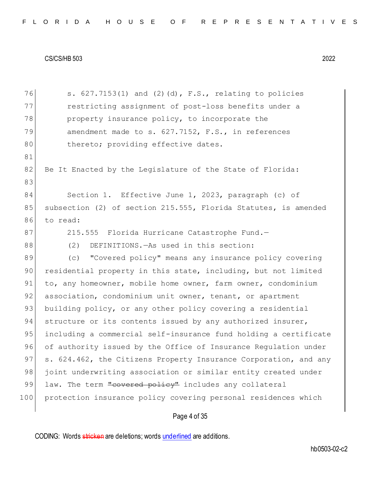| 76  | s. $627.7153(1)$ and $(2)(d)$ , F.S., relating to policies       |
|-----|------------------------------------------------------------------|
| 77  | restricting assignment of post-loss benefits under a             |
| 78  | property insurance policy, to incorporate the                    |
| 79  | amendment made to s. 627.7152, F.S., in references               |
| 80  | thereto; providing effective dates.                              |
| 81  |                                                                  |
| 82  | Be It Enacted by the Legislature of the State of Florida:        |
| 83  |                                                                  |
| 84  | Section 1. Effective June 1, 2023, paragraph (c) of              |
| 85  | subsection (2) of section 215.555, Florida Statutes, is amended  |
| 86  | to read:                                                         |
| 87  | 215.555 Florida Hurricane Catastrophe Fund.-                     |
| 88  | (2)<br>DEFINITIONS. - As used in this section:                   |
| 89  | "Covered policy" means any insurance policy covering<br>(C)      |
| 90  | residential property in this state, including, but not limited   |
| 91  | to, any homeowner, mobile home owner, farm owner, condominium    |
| 92  | association, condominium unit owner, tenant, or apartment        |
| 93  | building policy, or any other policy covering a residential      |
| 94  | structure or its contents issued by any authorized insurer,      |
| 95  | including a commercial self-insurance fund holding a certificate |
| 96  | of authority issued by the Office of Insurance Regulation under  |
| 97  | s. 624.462, the Citizens Property Insurance Corporation, and any |
| 98  | joint underwriting association or similar entity created under   |
| 99  | law. The term "covered policy" includes any collateral           |
| 100 | protection insurance policy covering personal residences which   |
|     | Page 4 of 35                                                     |
|     |                                                                  |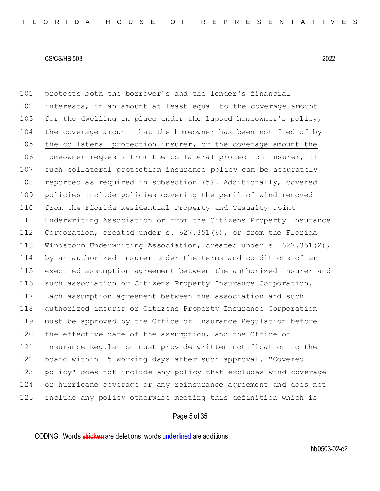protects both the borrower's and the lender's financial interests, in an amount at least equal to the coverage amount 103 for the dwelling in place under the lapsed homeowner's policy, the coverage amount that the homeowner has been notified of by 105 the collateral protection insurer, or the coverage amount the homeowner requests from the collateral protection insurer, if 107 such collateral protection insurance policy can be accurately 108 reported as required in subsection (5). Additionally, covered policies include policies covering the peril of wind removed from the Florida Residential Property and Casualty Joint Underwriting Association or from the Citizens Property Insurance Corporation, created under s. 627.351(6), or from the Florida 113 Windstorm Underwriting Association, created under s. 627.351(2), by an authorized insurer under the terms and conditions of an executed assumption agreement between the authorized insurer and 116 such association or Citizens Property Insurance Corporation. Each assumption agreement between the association and such authorized insurer or Citizens Property Insurance Corporation must be approved by the Office of Insurance Regulation before 120 the effective date of the assumption, and the Office of Insurance Regulation must provide written notification to the board within 15 working days after such approval. "Covered 123 policy" does not include any policy that excludes wind coverage or hurricane coverage or any reinsurance agreement and does not include any policy otherwise meeting this definition which is

# Page 5 of 35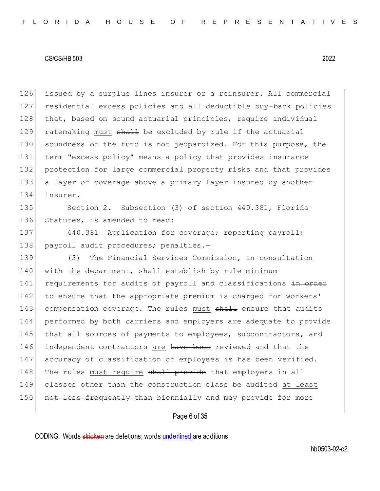126 issued by a surplus lines insurer or a reinsurer. All commercial 127 residential excess policies and all deductible buy-back policies 128 that, based on sound actuarial principles, require individual 129 ratemaking must shall be excluded by rule if the actuarial 130 soundness of the fund is not jeopardized. For this purpose, the 131 term "excess policy" means a policy that provides insurance 132 protection for large commercial property risks and that provides 133 a layer of coverage above a primary layer insured by another 134 insurer.

135 Section 2. Subsection (3) of section 440.381, Florida 136 Statutes, is amended to read:

137 440.381 Application for coverage; reporting payroll; 138 payroll audit procedures; penalties.-

139 (3) The Financial Services Commission, in consultation 140 with the department, shall establish by rule minimum 141 requirements for audits of payroll and classifications in order 142 to ensure that the appropriate premium is charged for workers' 143 compensation coverage. The rules must shall ensure that audits 144 performed by both carriers and employers are adequate to provide 145 that all sources of payments to employees, subcontractors, and 146 independent contractors are have been reviewed and that the 147 accuracy of classification of employees is has been verified. 148 The rules must require shall provide that employers in all 149 classes other than the construction class be audited at least 150 not less frequently than biennially and may provide for more

# Page 6 of 35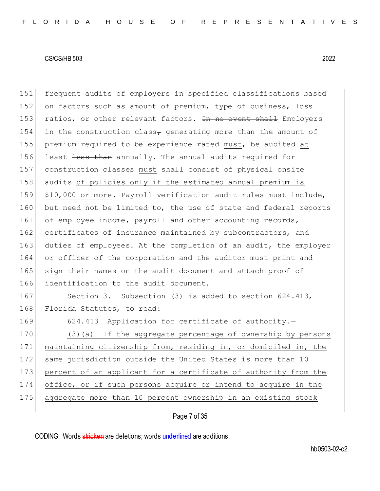151 frequent audits of employers in specified classifications based 152 on factors such as amount of premium, type of business, loss 153 ratios, or other relevant factors. In no event shall Employers 154 in the construction class<sub> $\tau$ </sub> generating more than the amount of 155 premium required to be experience rated must<sub>r</sub> be audited at 156 least less than annually. The annual audits required for 157 construction classes must shall consist of physical onsite 158 audits of policies only if the estimated annual premium is 159 \$10,000 or more. Payroll verification audit rules must include, 160 but need not be limited to, the use of state and federal reports 161 of employee income, payroll and other accounting records, 162 certificates of insurance maintained by subcontractors, and 163 duties of employees. At the completion of an audit, the employer 164 or officer of the corporation and the auditor must print and 165 sign their names on the audit document and attach proof of 166 identification to the audit document. 167 Section 3. Subsection (3) is added to section 624.413, 168 Florida Statutes, to read: 169 624.413 Application for certificate of authority.-

170 (3)(a) If the aggregate percentage of ownership by persons 171 maintaining citizenship from, residing in, or domiciled in, the 172 same jurisdiction outside the United States is more than 10 173 percent of an applicant for a certificate of authority from the 174 office, or if such persons acquire or intend to acquire in the 175 aggregate more than 10 percent ownership in an existing stock

# Page 7 of 35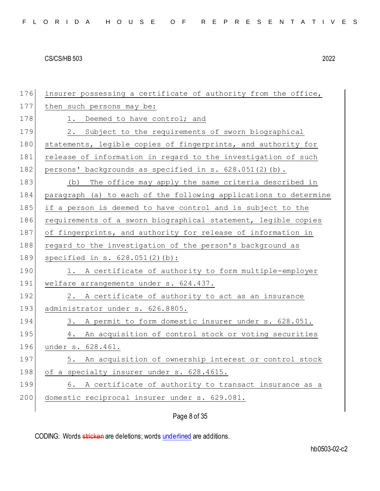| 176 | insurer possessing a certificate of authority from the office,   |
|-----|------------------------------------------------------------------|
| 177 | then such persons may be:                                        |
| 178 | 1. Deemed to have control; and                                   |
| 179 | Subject to the requirements of sworn biographical<br>2.          |
| 180 | statements, legible copies of fingerprints, and authority for    |
| 181 | release of information in regard to the investigation of such    |
| 182 | persons' backgrounds as specified in s. $628.051(2)$ (b).        |
| 183 | (b) The office may apply the same criteria described in          |
| 184 | paragraph (a) to each of the following applications to determine |
| 185 | if a person is deemed to have control and is subject to the      |
| 186 | requirements of a sworn biographical statement, legible copies   |
| 187 | of fingerprints, and authority for release of information in     |
| 188 | regard to the investigation of the person's background as        |
| 189 | specified in s. $628.051(2)(b)$ :                                |
| 190 | 1. A certificate of authority to form multiple-employer          |
| 191 | welfare arrangements under s. 624.437.                           |
| 192 | A certificate of authority to act as an insurance<br>2.          |
| 193 | administrator under s. 626.8805.                                 |
| 194 | 3.<br>A permit to form domestic insurer under s. 628.051.        |
| 195 | An acquisition of control stock or voting securities<br>4.       |
| 196 | under s. 628.461.                                                |
| 197 | 5. An acquisition of ownership interest or control stock         |
| 198 | of a specialty insurer under s. 628.4615.                        |
| 199 | A certificate of authority to transact insurance as a<br>6.      |
| 200 | domestic reciprocal insurer under s. 629.081.                    |
|     |                                                                  |

# Page 8 of 35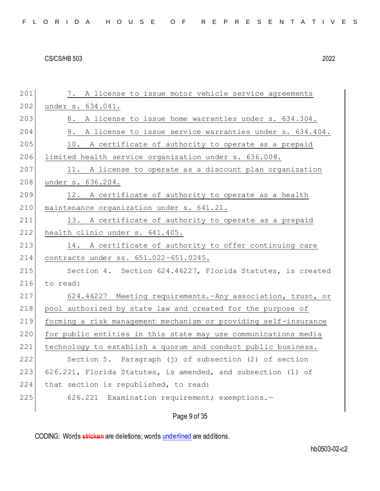201 7. A license to issue motor vehicle service agreements 202 under s. 634.041. 203 8. A license to issue home warranties under s. 634.304. 204 9. A license to issue service warranties under s. 634.404.  $205$  10. A certificate of authority to operate as a prepaid 206 limited health service organization under s. 636.008. 207 11. A license to operate as a discount plan organization 208 under s. 636.204. 209 12. A certificate of authority to operate as a health 210 maintenance organization under s. 641.21. 211 13. A certificate of authority to operate as a prepaid 212 health clinic under s. 641.405. 213 14. A certificate of authority to offer continuing care 214 contracts under ss. 651.022–651.0245. 215 Section 4. Section 624.46227, Florida Statutes, is created 216 to read: 217 624.46227 Meeting requirements.—Any association, trust, or 218 pool authorized by state law and created for the purpose of 219 forming a risk management mechanism or providing self-insurance 220 for public entities in this state may use communications media 221 technology to establish a quorum and conduct public business. 222 Section 5. Paragraph (j) of subsection (2) of section 223 626.221, Florida Statutes, is amended, and subsection  $(1)$  of 224 that section is republished, to read: 225 626.221 Examination requirement; exemptions.-

# Page 9 of 35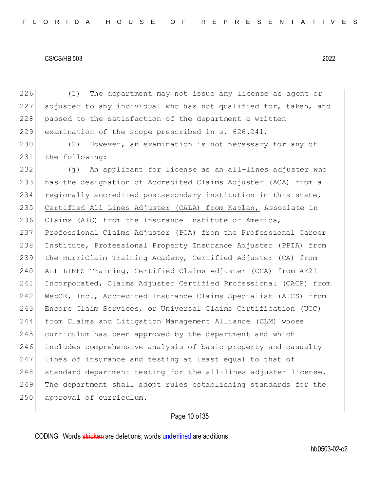(1) The department may not issue any license as agent or adjuster to any individual who has not qualified for, taken, and 228 passed to the satisfaction of the department a written examination of the scope prescribed in s. 626.241.

230 (2) However, an examination is not necessary for any of 231 the following:

232 (j) An applicant for license as an all-lines adjuster who has the designation of Accredited Claims Adjuster (ACA) from a 234 regionally accredited postsecondary institution in this state, Certified All Lines Adjuster (CALA) from Kaplan, Associate in Claims (AIC) from the Insurance Institute of America, Professional Claims Adjuster (PCA) from the Professional Career Institute, Professional Property Insurance Adjuster (PPIA) from the HurriClaim Training Academy, Certified Adjuster (CA) from ALL LINES Training, Certified Claims Adjuster (CCA) from AE21 241 Incorporated, Claims Adjuster Certified Professional (CACP) from WebCE, Inc., Accredited Insurance Claims Specialist (AICS) from Encore Claim Services, or Universal Claims Certification (UCC) from Claims and Litigation Management Alliance (CLM) whose 245 curriculum has been approved by the department and which includes comprehensive analysis of basic property and casualty 247 lines of insurance and testing at least equal to that of 248 standard department testing for the all-lines adjuster license. The department shall adopt rules establishing standards for the 250 approval of curriculum.

# Page 10 of 35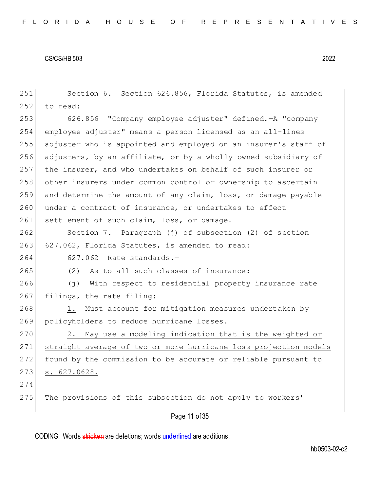| 251 | Section 6. Section 626.856, Florida Statutes, is amended           |
|-----|--------------------------------------------------------------------|
| 252 | to read:                                                           |
| 253 | 626.856 "Company employee adjuster" defined. - A "company          |
| 254 | employee adjuster" means a person licensed as an all-lines         |
| 255 | adjuster who is appointed and employed on an insurer's staff of    |
| 256 | adjusters, by an affiliate, or by a wholly owned subsidiary of     |
| 257 | the insurer, and who undertakes on behalf of such insurer or       |
| 258 | other insurers under common control or ownership to ascertain      |
| 259 | and determine the amount of any claim, loss, or damage payable     |
| 260 | under a contract of insurance, or undertakes to effect             |
| 261 | settlement of such claim, loss, or damage.                         |
| 262 | Section 7. Paragraph (j) of subsection (2) of section              |
| 263 | 627.062, Florida Statutes, is amended to read:                     |
| 264 | 627.062 Rate standards.-                                           |
| 265 | (2)<br>As to all such classes of insurance:                        |
| 266 | $(\dagger)$<br>With respect to residential property insurance rate |
| 267 | filings, the rate filing:                                          |
| 268 | Must account for mitigation measures undertaken by<br>1.           |
| 269 | policyholders to reduce hurricane losses.                          |
| 270 | May use a modeling indication that is the weighted or<br>2.        |
| 271 | straight average of two or more hurricane loss projection models   |
| 272 | found by the commission to be accurate or reliable pursuant to     |
| 273 | 627.0628.<br>$s$ .                                                 |
| 274 |                                                                    |
| 275 | The provisions of this subsection do not apply to workers'         |
|     | Page 11 of 35                                                      |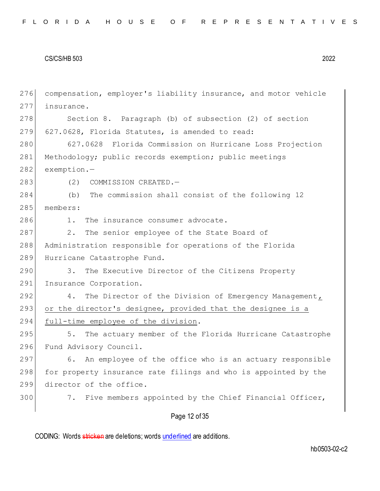Page 12 of 35 276 compensation, employer's liability insurance, and motor vehicle 277 insurance. 278 Section 8. Paragraph (b) of subsection (2) of section 279 627.0628, Florida Statutes, is amended to read: 280 627.0628 Florida Commission on Hurricane Loss Projection 281 Methodology; public records exemption; public meetings 282 exemption.-283 (2) COMMISSION CREATED. 284 (b) The commission shall consist of the following 12 285 members: 286 1. The insurance consumer advocate. 287 2. The senior employee of the State Board of 288 Administration responsible for operations of the Florida 289 Hurricane Catastrophe Fund. 290 3. The Executive Director of the Citizens Property 291 Insurance Corporation. 292 4. The Director of the Division of Emergency Management, 293 or the director's designee, provided that the designee is a 294 full-time employee of the division. 295 5. The actuary member of the Florida Hurricane Catastrophe 296 Fund Advisory Council. 297 6. An employee of the office who is an actuary responsible 298 for property insurance rate filings and who is appointed by the 299 director of the office. 300 7. Five members appointed by the Chief Financial Officer,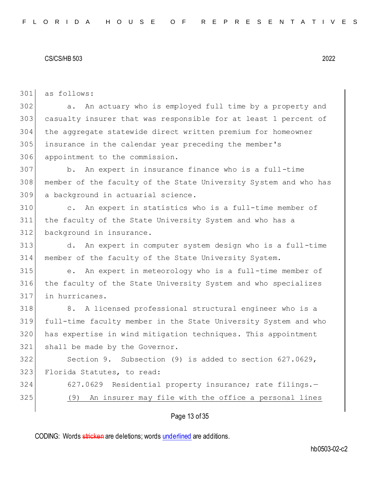as follows:

 a. An actuary who is employed full time by a property and casualty insurer that was responsible for at least 1 percent of the aggregate statewide direct written premium for homeowner insurance in the calendar year preceding the member's appointment to the commission.

 b. An expert in insurance finance who is a full-time member of the faculty of the State University System and who has a background in actuarial science.

 c. An expert in statistics who is a full-time member of the faculty of the State University System and who has a background in insurance.

 d. An expert in computer system design who is a full-time member of the faculty of the State University System.

 e. An expert in meteorology who is a full-time member of the faculty of the State University System and who specializes in hurricanes.

318 8. A licensed professional structural engineer who is a full-time faculty member in the State University System and who has expertise in wind mitigation techniques. This appointment 321 shall be made by the Governor.

 Section 9. Subsection (9) is added to section 627.0629, 323 Florida Statutes, to read:

 627.0629 Residential property insurance; rate filings.— (9) An insurer may file with the office a personal lines

# Page 13 of 35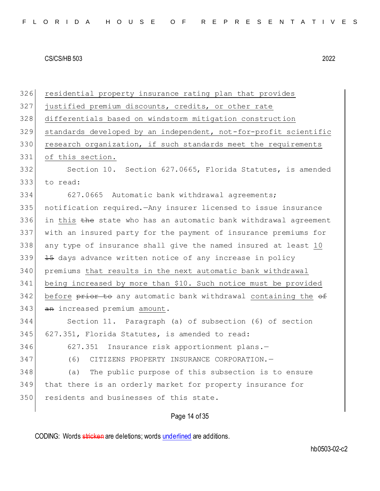residential property insurance rating plan that provides justified premium discounts, credits, or other rate differentials based on windstorm mitigation construction standards developed by an independent, not-for-profit scientific 330 research organization, if such standards meet the requirements of this section. Section 10. Section 627.0665, Florida Statutes, is amended 333 to read: 627.0665 Automatic bank withdrawal agreements; notification required.—Any insurer licensed to issue insurance 336 in this the state who has an automatic bank withdrawal agreement with an insured party for the payment of insurance premiums for any type of insurance shall give the named insured at least 10 339 45 days advance written notice of any increase in policy premiums that results in the next automatic bank withdrawal being increased by more than \$10. Such notice must be provided 342 before prior to any automatic bank withdrawal containing the of 343 an increased premium amount. Section 11. Paragraph (a) of subsection (6) of section 345 627.351, Florida Statutes, is amended to read: 627.351 Insurance risk apportionment plans.— (6) CITIZENS PROPERTY INSURANCE CORPORATION.— (a) The public purpose of this subsection is to ensure that there is an orderly market for property insurance for 350 residents and businesses of this state.

# Page 14 of 35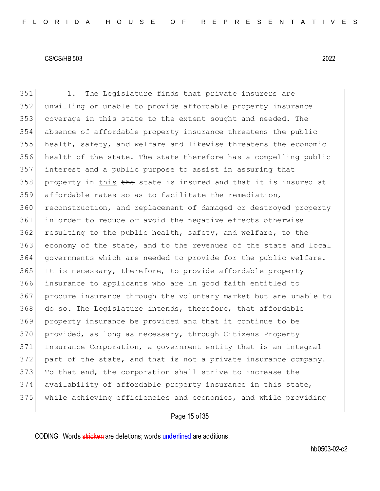1. The Legislature finds that private insurers are unwilling or unable to provide affordable property insurance coverage in this state to the extent sought and needed. The absence of affordable property insurance threatens the public health, safety, and welfare and likewise threatens the economic health of the state. The state therefore has a compelling public interest and a public purpose to assist in assuring that property in this the state is insured and that it is insured at affordable rates so as to facilitate the remediation, reconstruction, and replacement of damaged or destroyed property in order to reduce or avoid the negative effects otherwise resulting to the public health, safety, and welfare, to the economy of the state, and to the revenues of the state and local governments which are needed to provide for the public welfare. 365 It is necessary, therefore, to provide affordable property insurance to applicants who are in good faith entitled to procure insurance through the voluntary market but are unable to 368 do so. The Legislature intends, therefore, that affordable property insurance be provided and that it continue to be 370 provided, as long as necessary, through Citizens Property Insurance Corporation, a government entity that is an integral part of the state, and that is not a private insurance company. 373 To that end, the corporation shall strive to increase the 374 availability of affordable property insurance in this state, while achieving efficiencies and economies, and while providing

# Page 15 of 35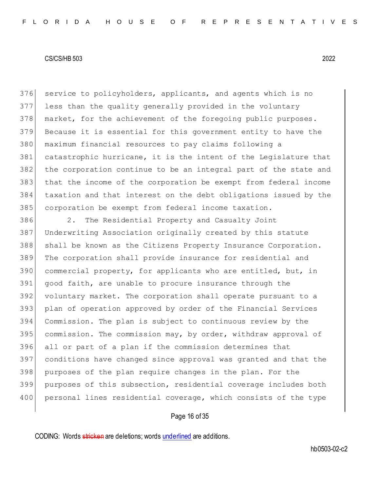376 service to policyholders, applicants, and agents which is no less than the quality generally provided in the voluntary 378 market, for the achievement of the foregoing public purposes. Because it is essential for this government entity to have the maximum financial resources to pay claims following a catastrophic hurricane, it is the intent of the Legislature that the corporation continue to be an integral part of the state and that the income of the corporation be exempt from federal income taxation and that interest on the debt obligations issued by the corporation be exempt from federal income taxation.

 2. The Residential Property and Casualty Joint Underwriting Association originally created by this statute shall be known as the Citizens Property Insurance Corporation. The corporation shall provide insurance for residential and commercial property, for applicants who are entitled, but, in good faith, are unable to procure insurance through the voluntary market. The corporation shall operate pursuant to a plan of operation approved by order of the Financial Services Commission. The plan is subject to continuous review by the 395 commission. The commission may, by order, withdraw approval of all or part of a plan if the commission determines that conditions have changed since approval was granted and that the purposes of the plan require changes in the plan. For the purposes of this subsection, residential coverage includes both 400 personal lines residential coverage, which consists of the type

# Page 16 of 35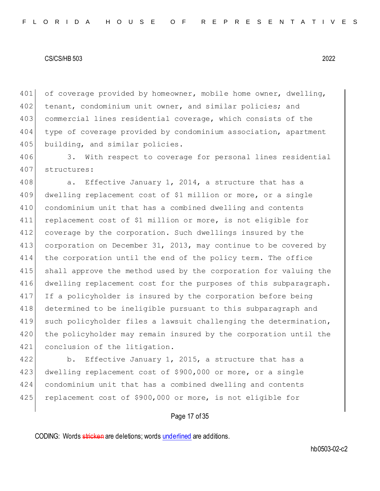401 of coverage provided by homeowner, mobile home owner, dwelling, 402 tenant, condominium unit owner, and similar policies; and 403 commercial lines residential coverage, which consists of the 404 type of coverage provided by condominium association, apartment 405 building, and similar policies.

406 3. With respect to coverage for personal lines residential 407 structures:

408 a. Effective January 1, 2014, a structure that has a 409 dwelling replacement cost of \$1 million or more, or a single 410 condominium unit that has a combined dwelling and contents 411 replacement cost of \$1 million or more, is not eligible for 412 coverage by the corporation. Such dwellings insured by the 413 corporation on December 31, 2013, may continue to be covered by 414 the corporation until the end of the policy term. The office 415 shall approve the method used by the corporation for valuing the 416 dwelling replacement cost for the purposes of this subparagraph. 417 If a policyholder is insured by the corporation before being 418 determined to be ineligible pursuant to this subparagraph and 419 such policyholder files a lawsuit challenging the determination, 420 the policyholder may remain insured by the corporation until the 421 conclusion of the litigation.

422 b. Effective January 1, 2015, a structure that has a 423 dwelling replacement cost of \$900,000 or more, or a single 424 condominium unit that has a combined dwelling and contents 425 replacement cost of \$900,000 or more, is not eligible for

# Page 17 of 35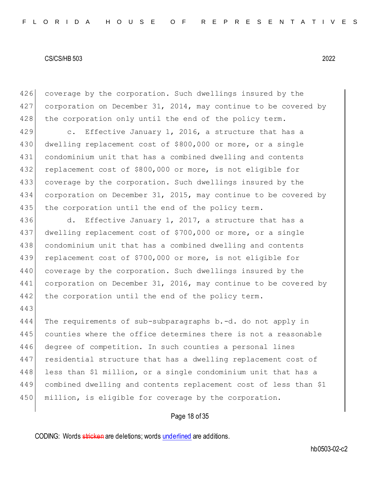443

426 coverage by the corporation. Such dwellings insured by the 427 corporation on December 31, 2014, may continue to be covered by 428 the corporation only until the end of the policy term.

429 c. Effective January 1, 2016, a structure that has a dwelling replacement cost of \$800,000 or more, or a single condominium unit that has a combined dwelling and contents replacement cost of \$800,000 or more, is not eligible for coverage by the corporation. Such dwellings insured by the corporation on December 31, 2015, may continue to be covered by 435 the corporation until the end of the policy term.

436 d. Effective January 1, 2017, a structure that has a 437 dwelling replacement cost of \$700,000 or more, or a single 438 condominium unit that has a combined dwelling and contents 439 replacement cost of \$700,000 or more, is not eligible for 440 coverage by the corporation. Such dwellings insured by the 441 corporation on December 31, 2016, may continue to be covered by 442 the corporation until the end of the policy term.

444 The requirements of sub-subparagraphs b.-d. do not apply in 445 counties where the office determines there is not a reasonable 446 degree of competition. In such counties a personal lines 447 residential structure that has a dwelling replacement cost of 448 less than \$1 million, or a single condominium unit that has a 449 combined dwelling and contents replacement cost of less than \$1 450 million, is eligible for coverage by the corporation.

### Page 18 of 35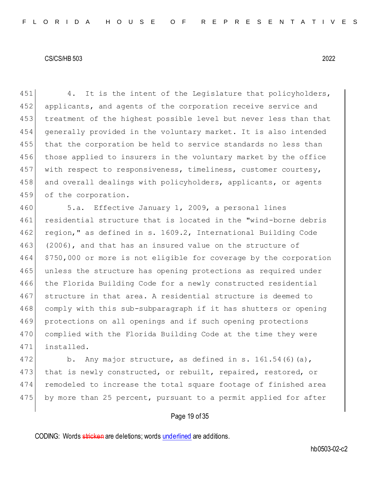$\vert$  4. It is the intent of the Legislature that policyholders, 452 applicants, and agents of the corporation receive service and treatment of the highest possible level but never less than that generally provided in the voluntary market. It is also intended that the corporation be held to service standards no less than those applied to insurers in the voluntary market by the office with respect to responsiveness, timeliness, customer courtesy, 458 and overall dealings with policyholders, applicants, or agents 459 of the corporation.

460 5.a. Effective January 1, 2009, a personal lines 461 residential structure that is located in the "wind-borne debris 462 region," as defined in s. 1609.2, International Building Code 463 (2006), and that has an insured value on the structure of 464 \$750,000 or more is not eligible for coverage by the corporation 465 unless the structure has opening protections as required under 466 the Florida Building Code for a newly constructed residential 467 structure in that area. A residential structure is deemed to 468 comply with this sub-subparagraph if it has shutters or opening 469 protections on all openings and if such opening protections 470 complied with the Florida Building Code at the time they were 471 installed.

472 b. Any major structure, as defined in s.  $161.54(6)(a)$ , 473 that is newly constructed, or rebuilt, repaired, restored, or 474 remodeled to increase the total square footage of finished area 475 by more than 25 percent, pursuant to a permit applied for after

# Page 19 of 35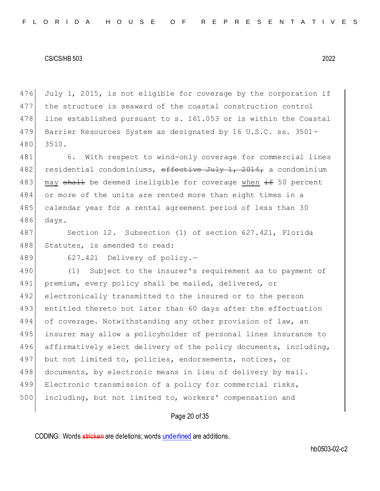476 July 1, 2015, is not eligible for coverage by the corporation if 477 the structure is seaward of the coastal construction control 478 line established pursuant to s. 161.053 or is within the Coastal 479 Barrier Resources System as designated by 16 U.S.C. ss. 3501- 480 3510.

481 6. With respect to wind-only coverage for commercial lines 482 residential condominiums, effective July 1, 2014, a condominium 483 may shall be deemed ineligible for coverage when  $\pm$  50 percent 484 or more of the units are rented more than eight times in a 485 calendar year for a rental agreement period of less than 30 486 days.

487 Section 12. Subsection (1) of section 627.421, Florida 488 Statutes, is amended to read:

489 627.421 Delivery of policy.-

490 (1) Subject to the insurer's requirement as to payment of 491 premium, every policy shall be mailed, delivered, or 492 electronically transmitted to the insured or to the person 493 entitled thereto not later than 60 days after the effectuation 494 of coverage. Notwithstanding any other provision of law, an 495 insurer may allow a policyholder of personal lines insurance to 496 affirmatively elect delivery of the policy documents, including, 497 but not limited to, policies, endorsements, notices, or 498 documents, by electronic means in lieu of delivery by mail. 499 Electronic transmission of a policy for commercial risks, 500 including, but not limited to, workers' compensation and

# Page 20 of 35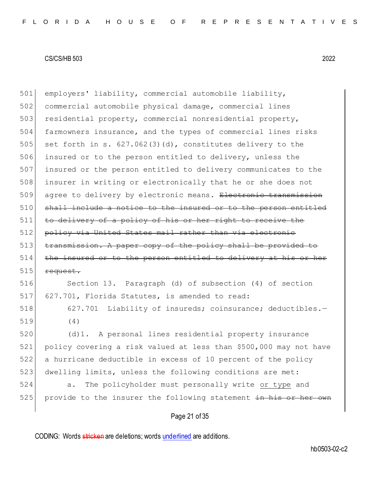employers' liability, commercial automobile liability, commercial automobile physical damage, commercial lines 503 residential property, commercial nonresidential property, farmowners insurance, and the types of commercial lines risks 505 set forth in s.  $627.062(3)(d)$ , constitutes delivery to the insured or to the person entitled to delivery, unless the insured or the person entitled to delivery communicates to the insurer in writing or electronically that he or she does not agree to delivery by electronic means. Electronic transmission shall include a notice to the insured or to the person entitled to delivery of a policy of his or her right to receive the policy via United States mail rather than via electronic transmission. A paper copy of the policy shall be provided to 514 the insured or to the person entitled to delivery at his or her request.

 Section 13. Paragraph (d) of subsection (4) of section 627.701, Florida Statutes, is amended to read:

518 627.701 Liability of insureds; coinsurance; deductibles.-(4)

 (d)1. A personal lines residential property insurance policy covering a risk valued at less than \$500,000 may not have a hurricane deductible in excess of 10 percent of the policy 523 dwelling limits, unless the following conditions are met:

 a. The policyholder must personally write or type and provide to the insurer the following statement in his or her own

# Page 21 of 35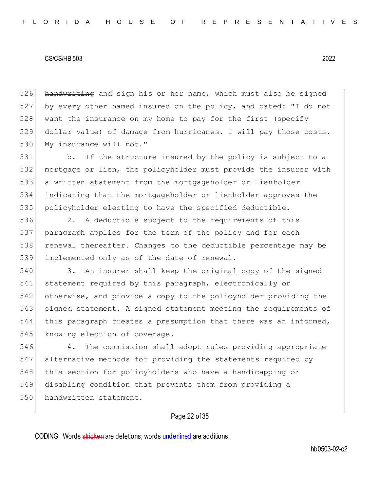526 handwriting and sign his or her name, which must also be signed 527 by every other named insured on the policy, and dated: "I do not 528 want the insurance on my home to pay for the first (specify 529 dollar value) of damage from hurricanes. I will pay those costs. 530 My insurance will not."

531 b. If the structure insured by the policy is subject to a mortgage or lien, the policyholder must provide the insurer with a written statement from the mortgageholder or lienholder indicating that the mortgageholder or lienholder approves the policyholder electing to have the specified deductible.

 2. A deductible subject to the requirements of this paragraph applies for the term of the policy and for each renewal thereafter. Changes to the deductible percentage may be 539 implemented only as of the date of renewal.

 3. An insurer shall keep the original copy of the signed statement required by this paragraph, electronically or otherwise, and provide a copy to the policyholder providing the signed statement. A signed statement meeting the requirements of this paragraph creates a presumption that there was an informed, 545 knowing election of coverage.

546 4. The commission shall adopt rules providing appropriate 547 alternative methods for providing the statements required by 548 this section for policyholders who have a handicapping or 549 disabling condition that prevents them from providing a 550 handwritten statement.

# Page 22 of 35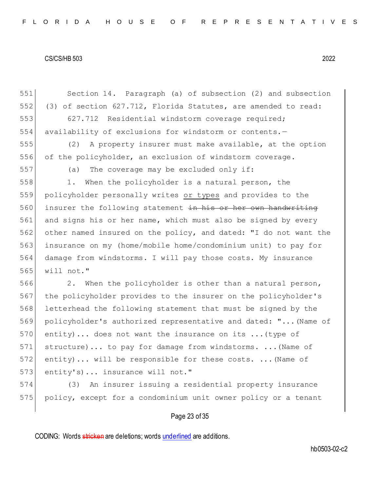551 Section 14. Paragraph (a) of subsection (2) and subsection 552 (3) of section 627.712, Florida Statutes, are amended to read: 553 627.712 Residential windstorm coverage required; 554 availability of exclusions for windstorm or contents.-555 (2) A property insurer must make available, at the option 556 of the policyholder, an exclusion of windstorm coverage. 557 (a) The coverage may be excluded only if: 558 1. When the policyholder is a natural person, the 559 policyholder personally writes or types and provides to the 560 insurer the following statement in his or her own handwriting 561 and signs his or her name, which must also be signed by every 562 other named insured on the policy, and dated: "I do not want the 563 insurance on my (home/mobile home/condominium unit) to pay for 564 damage from windstorms. I will pay those costs. My insurance 565 will not." 566 2. When the policyholder is other than a natural person, 567 the policyholder provides to the insurer on the policyholder's 568 letterhead the following statement that must be signed by the 569 policyholder's authorized representative and dated: "...(Name of 570 entity)... does not want the insurance on its ... (type of 571 structure)... to pay for damage from windstorms. ...(Name of 572 entity)... will be responsible for these costs. ... (Name of 573 entity's)... insurance will not." 574 (3) An insurer issuing a residential property insurance 575 policy, except for a condominium unit owner policy or a tenant

# Page 23 of 35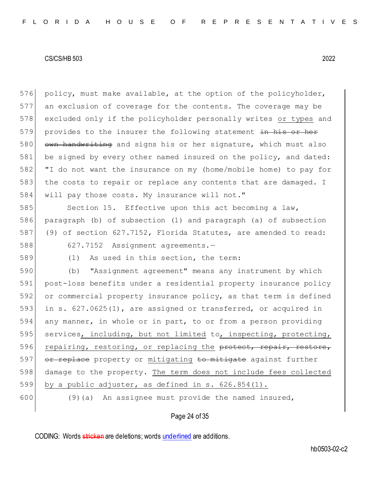576 policy, must make available, at the option of the policyholder, 577 an exclusion of coverage for the contents. The coverage may be 578 excluded only if the policyholder personally writes or types and 579 provides to the insurer the following statement in his or her 580 own handwriting and signs his or her signature, which must also 581 be signed by every other named insured on the policy, and dated: 582 "I do not want the insurance on my (home/mobile home) to pay for 583 the costs to repair or replace any contents that are damaged. I 584 will pay those costs. My insurance will not."

585 Section 15. Effective upon this act becoming a law, paragraph (b) of subsection (1) and paragraph (a) of subsection (9) of section 627.7152, Florida Statutes, are amended to read: 627.7152 Assignment agreements.—

589 (1) As used in this section, the term:

 (b) "Assignment agreement" means any instrument by which post-loss benefits under a residential property insurance policy or commercial property insurance policy, as that term is defined in s. 627.0625(1), are assigned or transferred, or acquired in any manner, in whole or in part, to or from a person providing 595 services, including, but not limited to, inspecting, protecting, 596 repairing, restoring, or replacing the protect, repair, restore, 597 or replace property or mitigating to mitigate against further damage to the property. The term does not include fees collected by a public adjuster, as defined in s. 626.854(1).

600 (9)(a) An assignee must provide the named insured,

### Page 24 of 35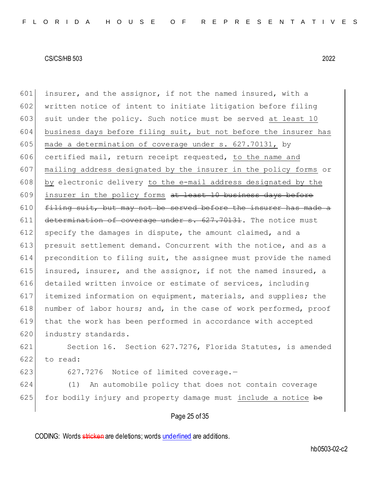601 insurer, and the assignor, if not the named insured, with a 602 written notice of intent to initiate litigation before filing 603 suit under the policy. Such notice must be served at least  $10$ 604 business days before filing suit, but not before the insurer has 605 made a determination of coverage under  $s. 627.70131$ , by 606 certified mail, return receipt requested, to the name and 607 mailing address designated by the insurer in the policy forms or 608 by electronic delivery to the e-mail address designated by the  $609$  insurer in the policy forms at least 10 business days before  $610$  filing suit, but may not be served before the insurer has made a  $611$  determination of coverage under s.  $627.70131$ . The notice must  $612$  specify the damages in dispute, the amount claimed, and a 613 presuit settlement demand. Concurrent with the notice, and as a 614 precondition to filing suit, the assignee must provide the named 615 insured, insurer, and the assignor, if not the named insured, a 616 detailed written invoice or estimate of services, including 617 itemized information on equipment, materials, and supplies; the 618 number of labor hours; and, in the case of work performed, proof 619 that the work has been performed in accordance with accepted 620 industry standards.

621 Section 16. Section 627.7276, Florida Statutes, is amended 622 to read:

623 627.7276 Notice of limited coverage. $-$ 

624 (1) An automobile policy that does not contain coverage  $625$  for bodily injury and property damage must include a notice be

# Page 25 of 35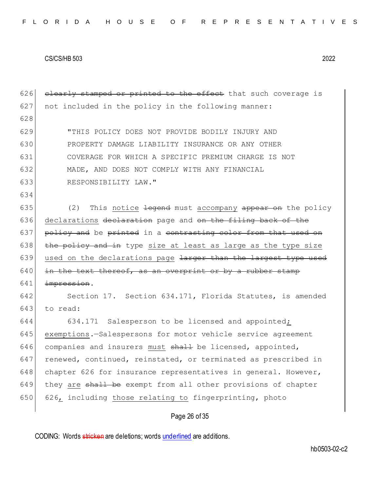$626$  clearly stamped or printed to the effect that such coverage is 627 not included in the policy in the following manner: 628 629 "THIS POLICY DOES NOT PROVIDE BODILY INJURY AND 630 PROPERTY DAMAGE LIABILITY INSURANCE OR ANY OTHER 631 COVERAGE FOR WHICH A SPECIFIC PREMIUM CHARGE IS NOT 632 MADE, AND DOES NOT COMPLY WITH ANY FINANCIAL 633 RESPONSIBILITY LAW." 634 635 (2) This notice  $\frac{1}{2}$  equational must accompany appear on the policy 636 declarations declaration page and on the filing back of the  $637$  policy and be printed in a contrasting color from that used on 638  $\vert$  the policy and in type size at least as large as the type size 639 used on the declarations page <del>larger than the largest type used</del>  $640$  in the text thereof, as an overprint or by a rubber stamp 641 impression. 642 Section 17. Section 634.171, Florida Statutes, is amended 643 to read: 644 634.171 Salesperson to be licensed and appointed; 645 exemptions.-Salespersons for motor vehicle service agreement 646 companies and insurers must  $\frac{1}{2}$  be licensed, appointed, 647 renewed, continued, reinstated, or terminated as prescribed in 648 chapter 626 for insurance representatives in general. However, 649 they are shall be exempt from all other provisions of chapter 650 626, including those relating to fingerprinting, photo

# Page 26 of 35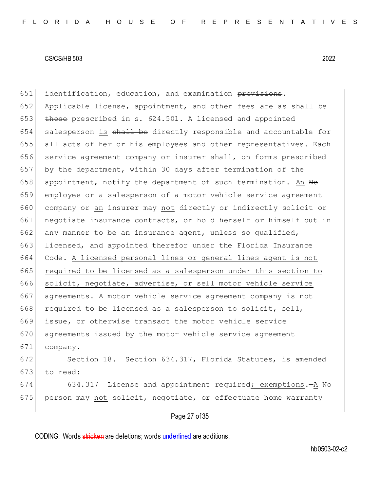651 identification, education, and examination provisions. 652 Applicable license, appointment, and other fees are as shall be 653  $\left| \right.$  those prescribed in s. 624.501. A licensed and appointed 654 salesperson is shall be directly responsible and accountable for 655 all acts of her or his employees and other representatives. Each 656 service agreement company or insurer shall, on forms prescribed 657 by the department, within 30 days after termination of the 658 appointment, notify the department of such termination. An  $H\Theta$ 659 employee or a salesperson of a motor vehicle service agreement 660 company or an insurer may not directly or indirectly solicit or 661 negotiate insurance contracts, or hold herself or himself out in 662 any manner to be an insurance agent, unless so qualified, 663 licensed, and appointed therefor under the Florida Insurance 664 Code. A licensed personal lines or general lines agent is not 665 required to be licensed as a salesperson under this section to 666 solicit, negotiate, advertise, or sell motor vehicle service 667 agreements. A motor vehicle service agreement company is not 668 required to be licensed as a salesperson to solicit, sell, 669 issue, or otherwise transact the motor vehicle service 670 agreements issued by the motor vehicle service agreement 671 company. 672 Section 18. Section 634.317, Florida Statutes, is amended  $673$  to read:

674 634.317 License and appointment required; exemptions.  $-A$  No  $675$  person may not solicit, negotiate, or effectuate home warranty

### Page 27 of 35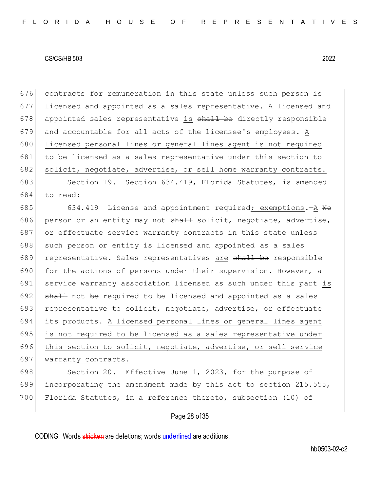| 676 | contracts for remuneration in this state unless such person is   |
|-----|------------------------------------------------------------------|
| 677 | licensed and appointed as a sales representative. A licensed and |
| 678 | appointed sales representative is shall be directly responsible  |
| 679 | and accountable for all acts of the licensee's employees. A      |
| 680 | licensed personal lines or general lines agent is not required   |
| 681 | to be licensed as a sales representative under this section to   |
| 682 | solicit, negotiate, advertise, or sell home warranty contracts.  |
| 683 | Section 19. Section 634.419, Florida Statutes, is amended        |
| 684 | to read:                                                         |
| 685 | 634.419 License and appointment required; exemptions. - A No     |
| 686 | person or an entity may not shall solicit, negotiate, advertise, |
| 687 | or effectuate service warranty contracts in this state unless    |
| 688 | such person or entity is licensed and appointed as a sales       |
| 689 | representative. Sales representatives are shall be responsible   |
| 690 | for the actions of persons under their supervision. However, a   |
| 691 | service warranty association licensed as such under this part is |
| 692 | shall not be required to be licensed and appointed as a sales    |
| 693 | representative to solicit, negotiate, advertise, or effectuate   |
| 694 | its products. A licensed personal lines or general lines agent   |
| 695 | is not required to be licensed as a sales representative under   |
| 696 | this section to solicit, negotiate, advertise, or sell service   |
| 697 | warranty contracts.                                              |
| 698 | Section 20. Effective June 1, 2023, for the purpose of           |
| 699 | incorporating the amendment made by this act to section 215.555, |
| 700 | Florida Statutes, in a reference thereto, subsection (10) of     |
|     |                                                                  |

# Page 28 of 35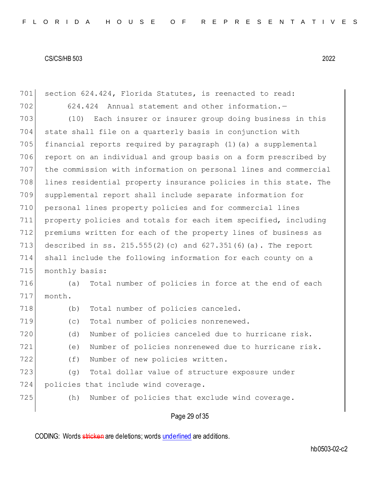701 section 624.424, Florida Statutes, is reenacted to read: 702 624.424 Annual statement and other information.-703 (10) Each insurer or insurer group doing business in this state shall file on a quarterly basis in conjunction with financial reports required by paragraph (1)(a) a supplemental 706 report on an individual and group basis on a form prescribed by the commission with information on personal lines and commercial lines residential property insurance policies in this state. The supplemental report shall include separate information for personal lines property policies and for commercial lines property policies and totals for each item specified, including premiums written for each of the property lines of business as described in ss. 215.555(2)(c) and 627.351(6)(a). The report shall include the following information for each county on a 715 monthly basis: (a) Total number of policies in force at the end of each 717 month. 718 (b) Total number of policies canceled. (c) Total number of policies nonrenewed. (d) Number of policies canceled due to hurricane risk. (e) Number of policies nonrenewed due to hurricane risk. 722 (f) Number of new policies written. (g) Total dollar value of structure exposure under 724 policies that include wind coverage. (h) Number of policies that exclude wind coverage.

# Page 29 of 35

CODING: Words stricken are deletions; words underlined are additions.

hb0503-02-c2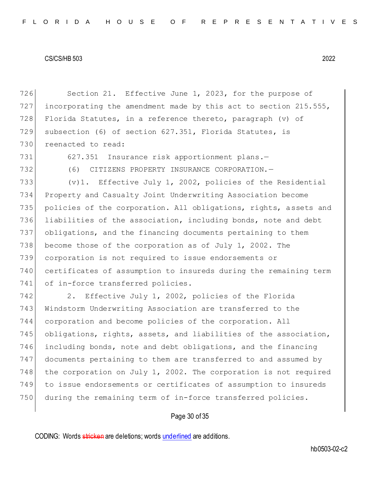726 Section 21. Effective June 1, 2023, for the purpose of incorporating the amendment made by this act to section 215.555, Florida Statutes, in a reference thereto, paragraph (v) of subsection (6) of section 627.351, Florida Statutes, is reenacted to read: 731 627.351 Insurance risk apportionment plans. (6) CITIZENS PROPERTY INSURANCE CORPORATION.—  $(v)$ 1. Effective July 1, 2002, policies of the Residential Property and Casualty Joint Underwriting Association become 735 policies of the corporation. All obligations, rights, assets and liabilities of the association, including bonds, note and debt obligations, and the financing documents pertaining to them 738 become those of the corporation as of July 1, 2002. The corporation is not required to issue endorsements or certificates of assumption to insureds during the remaining term 741 of in-force transferred policies. 742 2. Effective July 1, 2002, policies of the Florida Windstorm Underwriting Association are transferred to the

744 corporation and become policies of the corporation. All 745 obligations, rights, assets, and liabilities of the association, 746 including bonds, note and debt obligations, and the financing 747 documents pertaining to them are transferred to and assumed by 748 the corporation on July 1, 2002. The corporation is not required 749 to issue endorsements or certificates of assumption to insureds 750 during the remaining term of in-force transferred policies.

# Page 30 of 35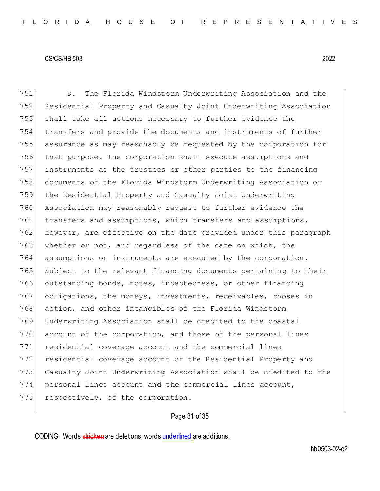3. The Florida Windstorm Underwriting Association and the Residential Property and Casualty Joint Underwriting Association shall take all actions necessary to further evidence the transfers and provide the documents and instruments of further assurance as may reasonably be requested by the corporation for that purpose. The corporation shall execute assumptions and instruments as the trustees or other parties to the financing documents of the Florida Windstorm Underwriting Association or the Residential Property and Casualty Joint Underwriting Association may reasonably request to further evidence the 761 transfers and assumptions, which transfers and assumptions, however, are effective on the date provided under this paragraph 763 whether or not, and regardless of the date on which, the assumptions or instruments are executed by the corporation. 765 Subject to the relevant financing documents pertaining to their 766 outstanding bonds, notes, indebtedness, or other financing 767 obligations, the moneys, investments, receivables, choses in action, and other intangibles of the Florida Windstorm Underwriting Association shall be credited to the coastal 770 account of the corporation, and those of the personal lines residential coverage account and the commercial lines residential coverage account of the Residential Property and Casualty Joint Underwriting Association shall be credited to the personal lines account and the commercial lines account, 775 respectively, of the corporation.

# Page 31 of 35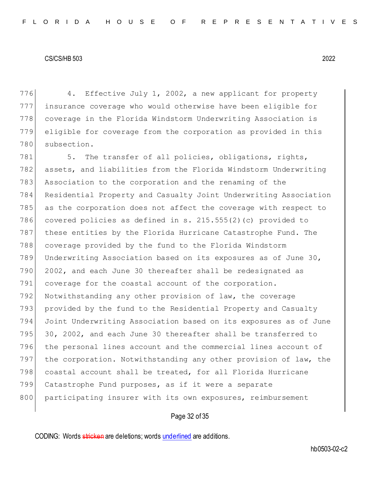4. Effective July 1, 2002, a new applicant for property insurance coverage who would otherwise have been eligible for coverage in the Florida Windstorm Underwriting Association is eligible for coverage from the corporation as provided in this subsection.

781 5. The transfer of all policies, obligations, rights, 782 assets, and liabilities from the Florida Windstorm Underwriting 783 Association to the corporation and the renaming of the 784 Residential Property and Casualty Joint Underwriting Association 785 as the corporation does not affect the coverage with respect to 786 covered policies as defined in s. 215.555(2)(c) provided to 787 these entities by the Florida Hurricane Catastrophe Fund. The 788 coverage provided by the fund to the Florida Windstorm 789 Underwriting Association based on its exposures as of June 30, 790 2002, and each June 30 thereafter shall be redesignated as 791 coverage for the coastal account of the corporation. 792 Notwithstanding any other provision of law, the coverage 793 provided by the fund to the Residential Property and Casualty 794 Joint Underwriting Association based on its exposures as of June 795 30, 2002, and each June 30 thereafter shall be transferred to 796 the personal lines account and the commercial lines account of 797 the corporation. Notwithstanding any other provision of law, the 798 coastal account shall be treated, for all Florida Hurricane 799 Catastrophe Fund purposes, as if it were a separate 800 participating insurer with its own exposures, reimbursement

# Page 32 of 35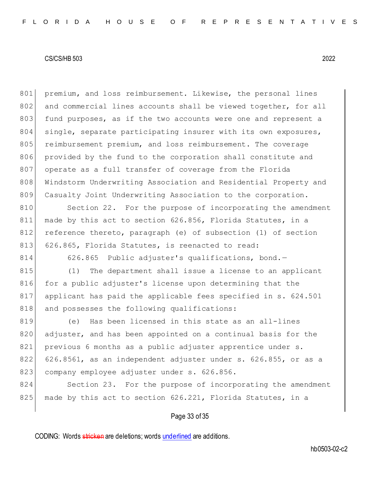801 premium, and loss reimbursement. Likewise, the personal lines 802 and commercial lines accounts shall be viewed together, for all 803 fund purposes, as if the two accounts were one and represent a 804 single, separate participating insurer with its own exposures, 805 reimbursement premium, and loss reimbursement. The coverage 806 provided by the fund to the corporation shall constitute and 807 operate as a full transfer of coverage from the Florida 808 Windstorm Underwriting Association and Residential Property and 809 Casualty Joint Underwriting Association to the corporation.

810 Section 22. For the purpose of incorporating the amendment 811 made by this act to section 626.856, Florida Statutes, in a 812 reference thereto, paragraph (e) of subsection (1) of section 813 626.865, Florida Statutes, is reenacted to read:

814 626.865 Public adjuster's qualifications, bond.-

815 (1) The department shall issue a license to an applicant 816 for a public adjuster's license upon determining that the 817 applicant has paid the applicable fees specified in s. 624.501 818 and possesses the following qualifications:

819 (e) Has been licensed in this state as an all-lines 820 adjuster, and has been appointed on a continual basis for the 821 previous 6 months as a public adjuster apprentice under s. 822 626.8561, as an independent adjuster under s. 626.855, or as a 823 company employee adjuster under s. 626.856.

824 Section 23. For the purpose of incorporating the amendment 825 made by this act to section 626.221, Florida Statutes, in a

# Page 33 of 35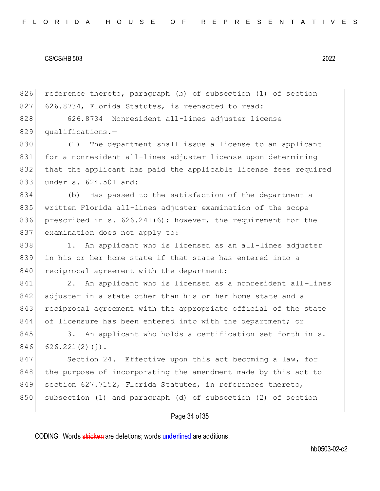826 reference thereto, paragraph (b) of subsection (1) of section 827 626.8734, Florida Statutes, is reenacted to read: 828 626.8734 Nonresident all-lines adjuster license

829 qualifications.-

 (1) The department shall issue a license to an applicant for a nonresident all-lines adjuster license upon determining that the applicant has paid the applicable license fees required 833 under s. 624.501 and:

 (b) Has passed to the satisfaction of the department a written Florida all-lines adjuster examination of the scope prescribed in s. 626.241(6); however, the requirement for the 837 examination does not apply to:

838 1. An applicant who is licensed as an all-lines adjuster 839 in his or her home state if that state has entered into a 840 reciprocal agreement with the department;

841 2. An applicant who is licensed as a nonresident all-lines 842 adjuster in a state other than his or her home state and a 843 reciprocal agreement with the appropriate official of the state 844 of licensure has been entered into with the department; or

845 3. An applicant who holds a certification set forth in s.  $846$  626.221(2)(j).

847 Section 24. Effective upon this act becoming a law, for 848 the purpose of incorporating the amendment made by this act to 849 section 627.7152, Florida Statutes, in references thereto, 850 subsection (1) and paragraph (d) of subsection (2) of section

# Page 34 of 35